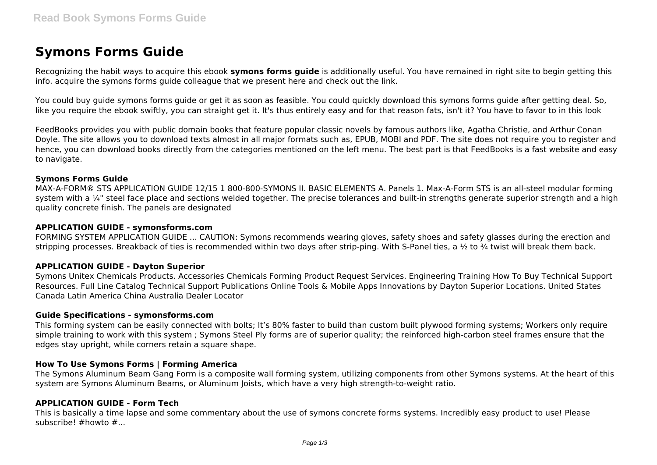# **Symons Forms Guide**

Recognizing the habit ways to acquire this ebook **symons forms guide** is additionally useful. You have remained in right site to begin getting this info. acquire the symons forms guide colleague that we present here and check out the link.

You could buy guide symons forms guide or get it as soon as feasible. You could quickly download this symons forms guide after getting deal. So, like you require the ebook swiftly, you can straight get it. It's thus entirely easy and for that reason fats, isn't it? You have to favor to in this look

FeedBooks provides you with public domain books that feature popular classic novels by famous authors like, Agatha Christie, and Arthur Conan Doyle. The site allows you to download texts almost in all major formats such as, EPUB, MOBI and PDF. The site does not require you to register and hence, you can download books directly from the categories mentioned on the left menu. The best part is that FeedBooks is a fast website and easy to navigate.

#### **Symons Forms Guide**

MAX-A-FORM® STS APPLICATION GUIDE 12/15 1 800-800-SYMONS II. BASIC ELEMENTS A. Panels 1. Max-A-Form STS is an all-steel modular forming system with a  $\frac{1}{4}$ " steel face place and sections welded together. The precise tolerances and built-in strengths generate superior strength and a high quality concrete finish. The panels are designated

## **APPLICATION GUIDE - symonsforms.com**

FORMING SYSTEM APPLICATION GUIDE ... CAUTION: Symons recommends wearing gloves, safety shoes and safety glasses during the erection and stripping processes. Breakback of ties is recommended within two days after strip-ping. With S-Panel ties, a  $\frac{1}{2}$  to  $\frac{3}{4}$  twist will break them back.

## **APPLICATION GUIDE - Dayton Superior**

Symons Unitex Chemicals Products. Accessories Chemicals Forming Product Request Services. Engineering Training How To Buy Technical Support Resources. Full Line Catalog Technical Support Publications Online Tools & Mobile Apps Innovations by Dayton Superior Locations. United States Canada Latin America China Australia Dealer Locator

#### **Guide Specifications - symonsforms.com**

This forming system can be easily connected with bolts; It's 80% faster to build than custom built plywood forming systems; Workers only require simple training to work with this system ; Symons Steel Ply forms are of superior quality; the reinforced high-carbon steel frames ensure that the edges stay upright, while corners retain a square shape.

## **How To Use Symons Forms | Forming America**

The Symons Aluminum Beam Gang Form is a composite wall forming system, utilizing components from other Symons systems. At the heart of this system are Symons Aluminum Beams, or Aluminum Joists, which have a very high strength-to-weight ratio.

## **APPLICATION GUIDE - Form Tech**

This is basically a time lapse and some commentary about the use of symons concrete forms systems. Incredibly easy product to use! Please subscribe! #howto #...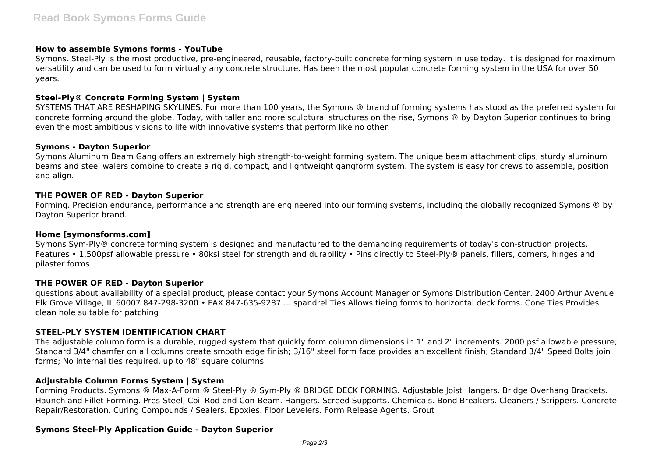#### **How to assemble Symons forms - YouTube**

Symons. Steel-Ply is the most productive, pre-engineered, reusable, factory-built concrete forming system in use today. It is designed for maximum versatility and can be used to form virtually any concrete structure. Has been the most popular concrete forming system in the USA for over 50 years.

## **Steel-Ply® Concrete Forming System | System**

SYSTEMS THAT ARE RESHAPING SKYLINES. For more than 100 years, the Symons ® brand of forming systems has stood as the preferred system for concrete forming around the globe. Today, with taller and more sculptural structures on the rise, Symons ® by Dayton Superior continues to bring even the most ambitious visions to life with innovative systems that perform like no other.

#### **Symons - Dayton Superior**

Symons Aluminum Beam Gang offers an extremely high strength-to-weight forming system. The unique beam attachment clips, sturdy aluminum beams and steel walers combine to create a rigid, compact, and lightweight gangform system. The system is easy for crews to assemble, position and align.

## **THE POWER OF RED - Dayton Superior**

Forming. Precision endurance, performance and strength are engineered into our forming systems, including the globally recognized Symons ® by Dayton Superior brand.

#### **Home [symonsforms.com]**

Symons Sym-Ply® concrete forming system is designed and manufactured to the demanding requirements of today's con-struction projects. Features • 1,500psf allowable pressure • 80ksi steel for strength and durability • Pins directly to Steel-Ply® panels, fillers, corners, hinges and pilaster forms

#### **THE POWER OF RED - Dayton Superior**

questions about availability of a special product, please contact your Symons Account Manager or Symons Distribution Center. 2400 Arthur Avenue Elk Grove Village, IL 60007 847-298-3200 • FAX 847-635-9287 ... spandrel Ties Allows tieing forms to horizontal deck forms. Cone Ties Provides clean hole suitable for patching

## **STEEL-PLY SYSTEM IDENTIFICATION CHART**

The adjustable column form is a durable, rugged system that quickly form column dimensions in 1" and 2" increments. 2000 psf allowable pressure; Standard 3/4" chamfer on all columns create smooth edge finish; 3/16" steel form face provides an excellent finish; Standard 3/4" Speed Bolts join forms; No internal ties required, up to 48" square columns

## **Adjustable Column Forms System | System**

Forming Products. Symons ® Max-A-Form ® Steel-Ply ® Sym-Ply ® BRIDGE DECK FORMING. Adjustable Joist Hangers. Bridge Overhang Brackets. Haunch and Fillet Forming. Pres-Steel, Coil Rod and Con-Beam. Hangers. Screed Supports. Chemicals. Bond Breakers. Cleaners / Strippers. Concrete Repair/Restoration. Curing Compounds / Sealers. Epoxies. Floor Levelers. Form Release Agents. Grout

#### **Symons Steel-Ply Application Guide - Dayton Superior**